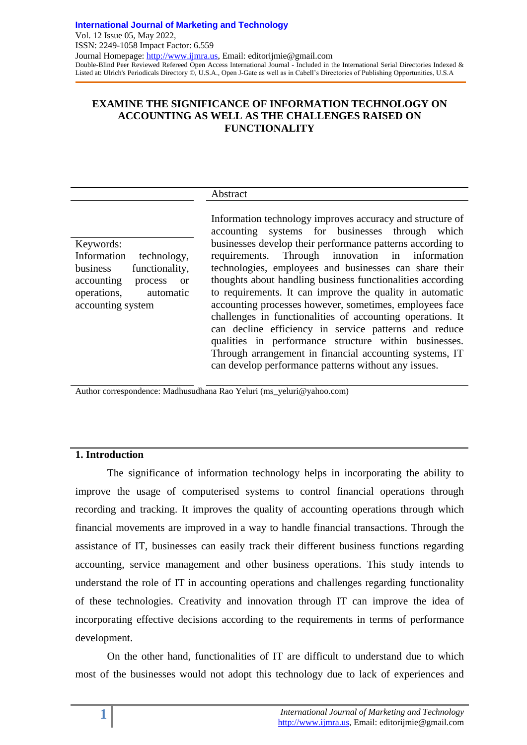## **EXAMINE THE SIGNIFICANCE OF INFORMATION TECHNOLOGY ON ACCOUNTING AS WELL AS THE CHALLENGES RAISED ON FUNCTIONALITY**

### Abstract

Keywords: Information technology, business functionality, accounting process or operations, automatic accounting system

Information technology improves accuracy and structure of accounting systems for businesses through which businesses develop their performance patterns according to requirements. Through innovation in information technologies, employees and businesses can share their thoughts about handling business functionalities according to requirements. It can improve the quality in automatic accounting processes however, sometimes, employees face challenges in functionalities of accounting operations. It can decline efficiency in service patterns and reduce qualities in performance structure within businesses. Through arrangement in financial accounting systems, IT can develop performance patterns without any issues.

Author correspondence: Madhusudhana Rao Yeluri (ms\_yeluri@yahoo.com)

## **1. Introduction**

The significance of information technology helps in incorporating the ability to improve the usage of computerised systems to control financial operations through recording and tracking. It improves the quality of accounting operations through which financial movements are improved in a way to handle financial transactions. Through the assistance of IT, businesses can easily track their different business functions regarding accounting, service management and other business operations. This study intends to understand the role of IT in accounting operations and challenges regarding functionality of these technologies. Creativity and innovation through IT can improve the idea of incorporating effective decisions according to the requirements in terms of performance development.

On the other hand, functionalities of IT are difficult to understand due to which most of the businesses would not adopt this technology due to lack of experiences and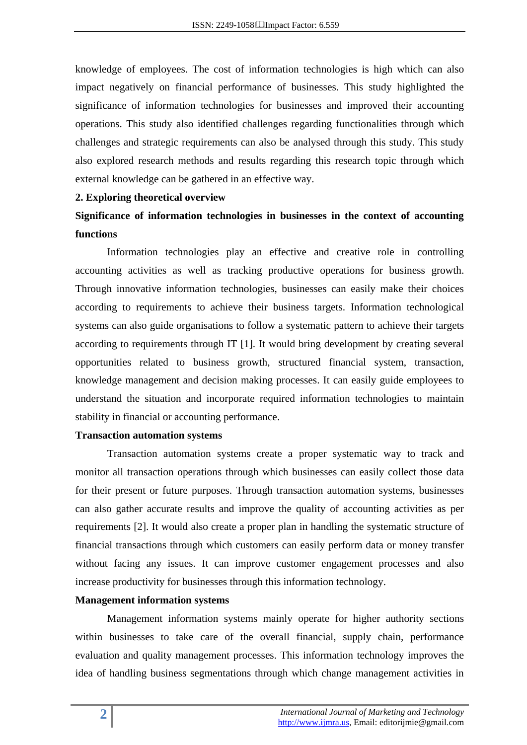knowledge of employees. The cost of information technologies is high which can also impact negatively on financial performance of businesses. This study highlighted the significance of information technologies for businesses and improved their accounting operations. This study also identified challenges regarding functionalities through which challenges and strategic requirements can also be analysed through this study. This study also explored research methods and results regarding this research topic through which external knowledge can be gathered in an effective way.

#### **2. Exploring theoretical overview**

## **Significance of information technologies in businesses in the context of accounting functions**

Information technologies play an effective and creative role in controlling accounting activities as well as tracking productive operations for business growth. Through innovative information technologies, businesses can easily make their choices according to requirements to achieve their business targets. Information technological systems can also guide organisations to follow a systematic pattern to achieve their targets according to requirements through IT [1]. It would bring development by creating several opportunities related to business growth, structured financial system, transaction, knowledge management and decision making processes. It can easily guide employees to understand the situation and incorporate required information technologies to maintain stability in financial or accounting performance.

#### **Transaction automation systems**

Transaction automation systems create a proper systematic way to track and monitor all transaction operations through which businesses can easily collect those data for their present or future purposes. Through transaction automation systems, businesses can also gather accurate results and improve the quality of accounting activities as per requirements [2]. It would also create a proper plan in handling the systematic structure of financial transactions through which customers can easily perform data or money transfer without facing any issues. It can improve customer engagement processes and also increase productivity for businesses through this information technology.

#### **Management information systems**

Management information systems mainly operate for higher authority sections within businesses to take care of the overall financial, supply chain, performance evaluation and quality management processes. This information technology improves the idea of handling business segmentations through which change management activities in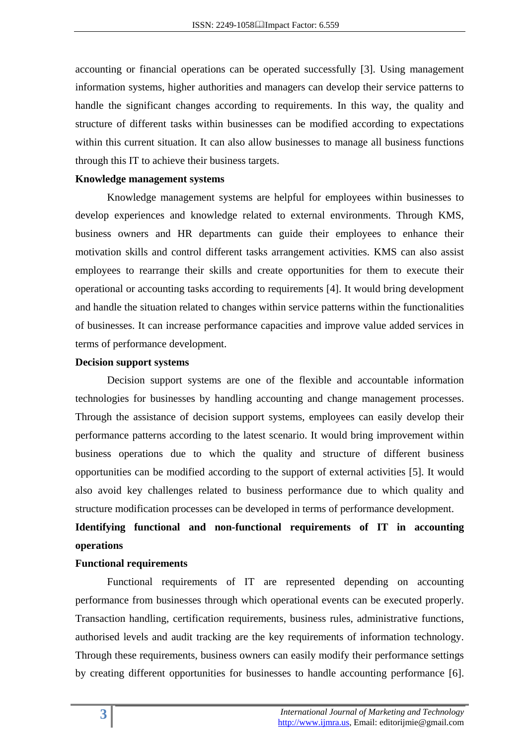accounting or financial operations can be operated successfully [3]. Using management information systems, higher authorities and managers can develop their service patterns to handle the significant changes according to requirements. In this way, the quality and structure of different tasks within businesses can be modified according to expectations within this current situation. It can also allow businesses to manage all business functions through this IT to achieve their business targets.

#### **Knowledge management systems**

Knowledge management systems are helpful for employees within businesses to develop experiences and knowledge related to external environments. Through KMS, business owners and HR departments can guide their employees to enhance their motivation skills and control different tasks arrangement activities. KMS can also assist employees to rearrange their skills and create opportunities for them to execute their operational or accounting tasks according to requirements [4]. It would bring development and handle the situation related to changes within service patterns within the functionalities of businesses. It can increase performance capacities and improve value added services in terms of performance development.

#### **Decision support systems**

Decision support systems are one of the flexible and accountable information technologies for businesses by handling accounting and change management processes. Through the assistance of decision support systems, employees can easily develop their performance patterns according to the latest scenario. It would bring improvement within business operations due to which the quality and structure of different business opportunities can be modified according to the support of external activities [5]. It would also avoid key challenges related to business performance due to which quality and structure modification processes can be developed in terms of performance development.

# **Identifying functional and non-functional requirements of IT in accounting operations**

#### **Functional requirements**

Functional requirements of IT are represented depending on accounting performance from businesses through which operational events can be executed properly. Transaction handling, certification requirements, business rules, administrative functions, authorised levels and audit tracking are the key requirements of information technology. Through these requirements, business owners can easily modify their performance settings by creating different opportunities for businesses to handle accounting performance [6].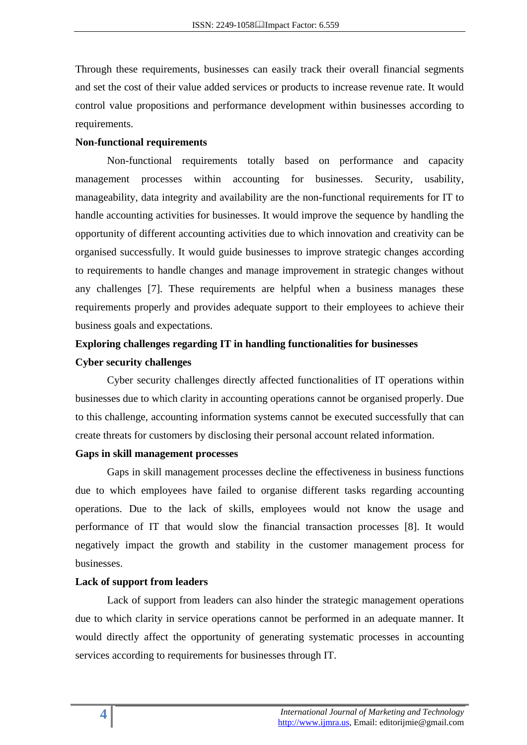Through these requirements, businesses can easily track their overall financial segments and set the cost of their value added services or products to increase revenue rate. It would control value propositions and performance development within businesses according to requirements.

### **Non-functional requirements**

Non-functional requirements totally based on performance and capacity management processes within accounting for businesses. Security, usability, manageability, data integrity and availability are the non-functional requirements for IT to handle accounting activities for businesses. It would improve the sequence by handling the opportunity of different accounting activities due to which innovation and creativity can be organised successfully. It would guide businesses to improve strategic changes according to requirements to handle changes and manage improvement in strategic changes without any challenges [7]. These requirements are helpful when a business manages these requirements properly and provides adequate support to their employees to achieve their business goals and expectations.

# **Exploring challenges regarding IT in handling functionalities for businesses Cyber security challenges**

Cyber security challenges directly affected functionalities of IT operations within businesses due to which clarity in accounting operations cannot be organised properly. Due to this challenge, accounting information systems cannot be executed successfully that can create threats for customers by disclosing their personal account related information.

#### **Gaps in skill management processes**

Gaps in skill management processes decline the effectiveness in business functions due to which employees have failed to organise different tasks regarding accounting operations. Due to the lack of skills, employees would not know the usage and performance of IT that would slow the financial transaction processes [8]. It would negatively impact the growth and stability in the customer management process for businesses.

### **Lack of support from leaders**

Lack of support from leaders can also hinder the strategic management operations due to which clarity in service operations cannot be performed in an adequate manner. It would directly affect the opportunity of generating systematic processes in accounting services according to requirements for businesses through IT.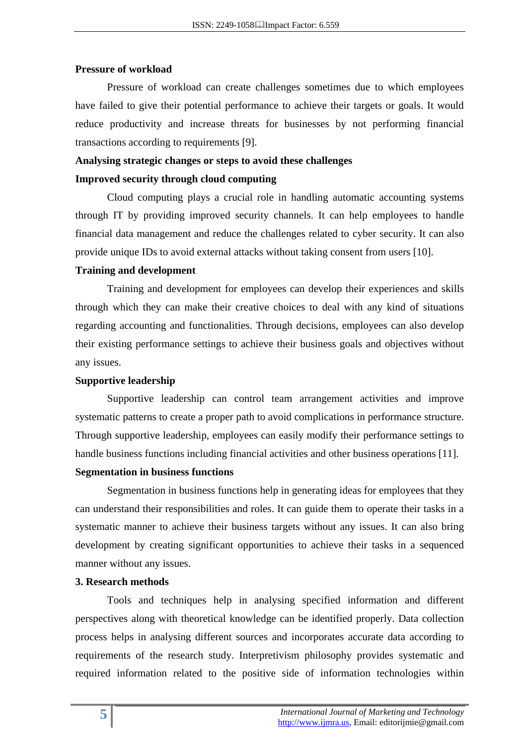#### **Pressure of workload**

Pressure of workload can create challenges sometimes due to which employees have failed to give their potential performance to achieve their targets or goals. It would reduce productivity and increase threats for businesses by not performing financial transactions according to requirements [9].

## **Analysing strategic changes or steps to avoid these challenges Improved security through cloud computing**

Cloud computing plays a crucial role in handling automatic accounting systems through IT by providing improved security channels. It can help employees to handle financial data management and reduce the challenges related to cyber security. It can also provide unique IDs to avoid external attacks without taking consent from users [10].

#### **Training and development**

Training and development for employees can develop their experiences and skills through which they can make their creative choices to deal with any kind of situations regarding accounting and functionalities. Through decisions, employees can also develop their existing performance settings to achieve their business goals and objectives without any issues.

#### **Supportive leadership**

Supportive leadership can control team arrangement activities and improve systematic patterns to create a proper path to avoid complications in performance structure. Through supportive leadership, employees can easily modify their performance settings to handle business functions including financial activities and other business operations [11].

#### **Segmentation in business functions**

Segmentation in business functions help in generating ideas for employees that they can understand their responsibilities and roles. It can guide them to operate their tasks in a systematic manner to achieve their business targets without any issues. It can also bring development by creating significant opportunities to achieve their tasks in a sequenced manner without any issues.

### **3. Research methods**

Tools and techniques help in analysing specified information and different perspectives along with theoretical knowledge can be identified properly. Data collection process helps in analysing different sources and incorporates accurate data according to requirements of the research study. Interpretivism philosophy provides systematic and required information related to the positive side of information technologies within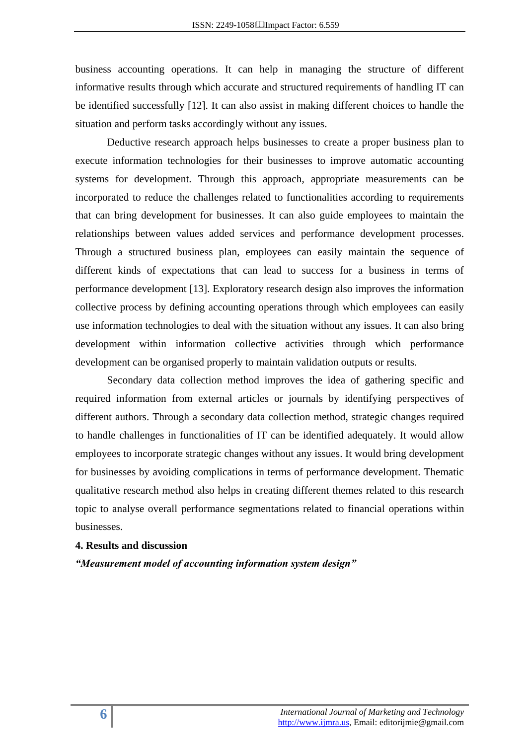business accounting operations. It can help in managing the structure of different informative results through which accurate and structured requirements of handling IT can be identified successfully [12]. It can also assist in making different choices to handle the situation and perform tasks accordingly without any issues.

Deductive research approach helps businesses to create a proper business plan to execute information technologies for their businesses to improve automatic accounting systems for development. Through this approach, appropriate measurements can be incorporated to reduce the challenges related to functionalities according to requirements that can bring development for businesses. It can also guide employees to maintain the relationships between values added services and performance development processes. Through a structured business plan, employees can easily maintain the sequence of different kinds of expectations that can lead to success for a business in terms of performance development [13]. Exploratory research design also improves the information collective process by defining accounting operations through which employees can easily use information technologies to deal with the situation without any issues. It can also bring development within information collective activities through which performance development can be organised properly to maintain validation outputs or results.

Secondary data collection method improves the idea of gathering specific and required information from external articles or journals by identifying perspectives of different authors. Through a secondary data collection method, strategic changes required to handle challenges in functionalities of IT can be identified adequately. It would allow employees to incorporate strategic changes without any issues. It would bring development for businesses by avoiding complications in terms of performance development. Thematic qualitative research method also helps in creating different themes related to this research topic to analyse overall performance segmentations related to financial operations within businesses.

#### **4. Results and discussion**

*"Measurement model of accounting information system design"*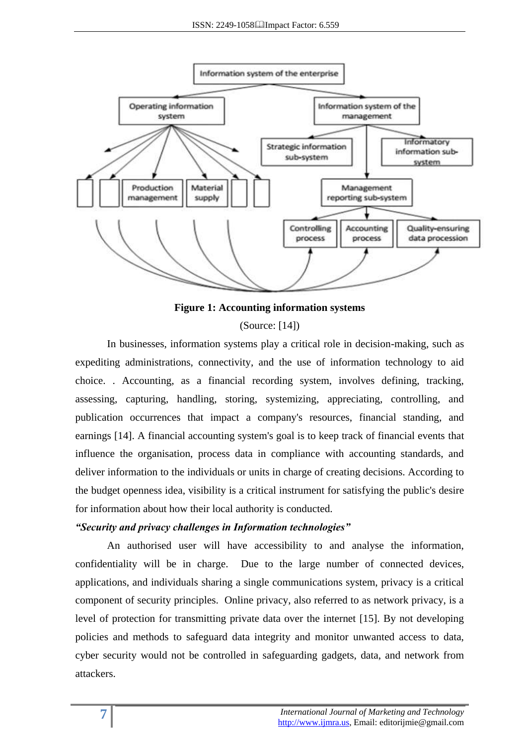

**Figure 1: Accounting information systems**

(Source: [14])

In businesses, information systems play a critical role in decision-making, such as expediting administrations, connectivity, and the use of information technology to aid choice. . Accounting, as a financial recording system, involves defining, tracking, assessing, capturing, handling, storing, systemizing, appreciating, controlling, and publication occurrences that impact a company's resources, financial standing, and earnings [14]. A financial accounting system's goal is to keep track of financial events that influence the organisation, process data in compliance with accounting standards, and deliver information to the individuals or units in charge of creating decisions. According to the budget openness idea, visibility is a critical instrument for satisfying the public's desire for information about how their local authority is conducted.

### *"Security and privacy challenges in Information technologies"*

An authorised user will have accessibility to and analyse the information, confidentiality will be in charge. Due to the large number of connected devices, applications, and individuals sharing a single communications system, privacy is a critical component of security principles. Online privacy, also referred to as network privacy, is a level of protection for transmitting private data over the internet [15]. By not developing policies and methods to safeguard data integrity and monitor unwanted access to data, cyber security would not be controlled in safeguarding gadgets, data, and network from attackers.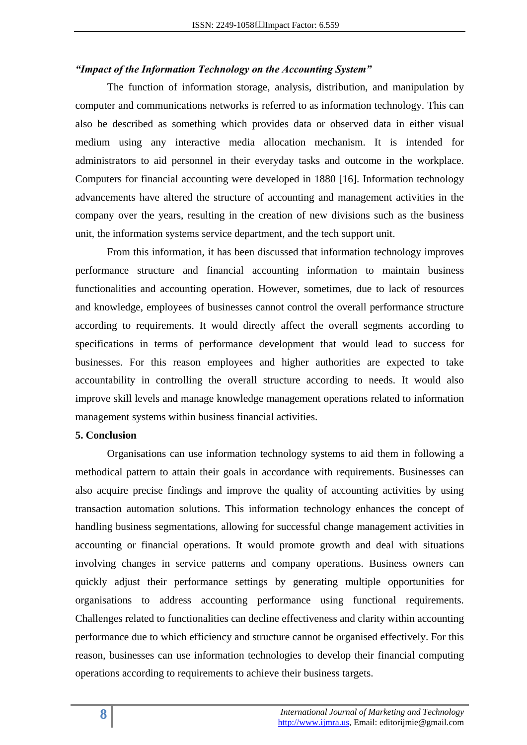#### *"Impact of the Information Technology on the Accounting System"*

The function of information storage, analysis, distribution, and manipulation by computer and communications networks is referred to as information technology. This can also be described as something which provides data or observed data in either visual medium using any interactive media allocation mechanism. It is intended for administrators to aid personnel in their everyday tasks and outcome in the workplace. Computers for financial accounting were developed in 1880 [16]. Information technology advancements have altered the structure of accounting and management activities in the company over the years, resulting in the creation of new divisions such as the business unit, the information systems service department, and the tech support unit.

From this information, it has been discussed that information technology improves performance structure and financial accounting information to maintain business functionalities and accounting operation. However, sometimes, due to lack of resources and knowledge, employees of businesses cannot control the overall performance structure according to requirements. It would directly affect the overall segments according to specifications in terms of performance development that would lead to success for businesses. For this reason employees and higher authorities are expected to take accountability in controlling the overall structure according to needs. It would also improve skill levels and manage knowledge management operations related to information management systems within business financial activities.

#### **5. Conclusion**

Organisations can use information technology systems to aid them in following a methodical pattern to attain their goals in accordance with requirements. Businesses can also acquire precise findings and improve the quality of accounting activities by using transaction automation solutions. This information technology enhances the concept of handling business segmentations, allowing for successful change management activities in accounting or financial operations. It would promote growth and deal with situations involving changes in service patterns and company operations. Business owners can quickly adjust their performance settings by generating multiple opportunities for organisations to address accounting performance using functional requirements. Challenges related to functionalities can decline effectiveness and clarity within accounting performance due to which efficiency and structure cannot be organised effectively. For this reason, businesses can use information technologies to develop their financial computing operations according to requirements to achieve their business targets.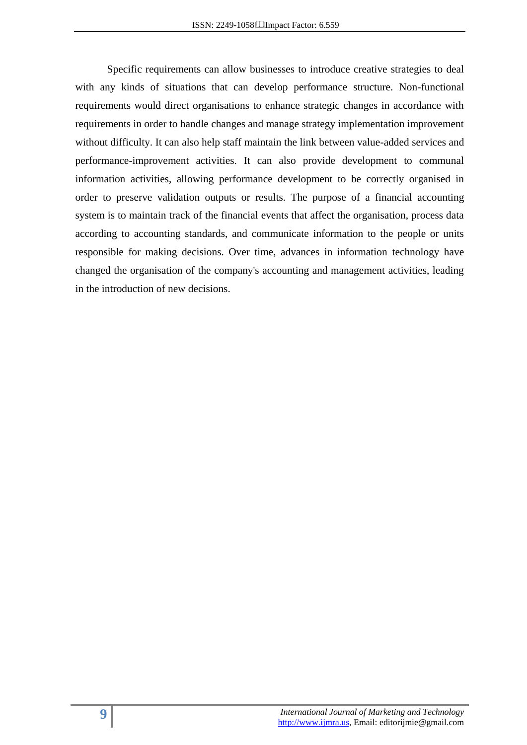Specific requirements can allow businesses to introduce creative strategies to deal with any kinds of situations that can develop performance structure. Non-functional requirements would direct organisations to enhance strategic changes in accordance with requirements in order to handle changes and manage strategy implementation improvement without difficulty. It can also help staff maintain the link between value-added services and performance-improvement activities. It can also provide development to communal information activities, allowing performance development to be correctly organised in order to preserve validation outputs or results. The purpose of a financial accounting system is to maintain track of the financial events that affect the organisation, process data according to accounting standards, and communicate information to the people or units responsible for making decisions. Over time, advances in information technology have changed the organisation of the company's accounting and management activities, leading in the introduction of new decisions.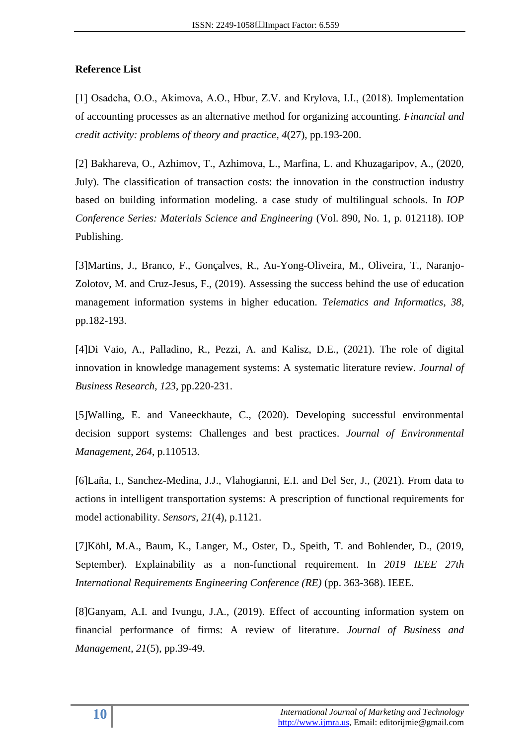## **Reference List**

[1] Osadcha, O.O., Akimova, A.O., Hbur, Z.V. and Krylova, I.I., (2018). Implementation of accounting processes as an alternative method for organizing accounting. *Financial and credit activity: problems of theory and practice*, *4*(27), pp.193-200.

[2] Bakhareva, O., Azhimov, T., Azhimova, L., Marfina, L. and Khuzagaripov, A., (2020, July). The classification of transaction costs: the innovation in the construction industry based on building information modeling. a case study of multilingual schools. In *IOP Conference Series: Materials Science and Engineering* (Vol. 890, No. 1, p. 012118). IOP Publishing.

[3]Martins, J., Branco, F., Gonçalves, R., Au-Yong-Oliveira, M., Oliveira, T., Naranjo-Zolotov, M. and Cruz-Jesus, F., (2019). Assessing the success behind the use of education management information systems in higher education. *Telematics and Informatics*, *38*, pp.182-193.

[4]Di Vaio, A., Palladino, R., Pezzi, A. and Kalisz, D.E., (2021). The role of digital innovation in knowledge management systems: A systematic literature review. *Journal of Business Research*, *123*, pp.220-231.

[5]Walling, E. and Vaneeckhaute, C., (2020). Developing successful environmental decision support systems: Challenges and best practices. *Journal of Environmental Management*, *264*, p.110513.

[6]Laña, I., Sanchez-Medina, J.J., Vlahogianni, E.I. and Del Ser, J., (2021). From data to actions in intelligent transportation systems: A prescription of functional requirements for model actionability. *Sensors*, *21*(4), p.1121.

[7]Köhl, M.A., Baum, K., Langer, M., Oster, D., Speith, T. and Bohlender, D., (2019, September). Explainability as a non-functional requirement. In *2019 IEEE 27th International Requirements Engineering Conference (RE)* (pp. 363-368). IEEE.

[8]Ganyam, A.I. and Ivungu, J.A., (2019). Effect of accounting information system on financial performance of firms: A review of literature. *Journal of Business and Management*, *21*(5), pp.39-49.